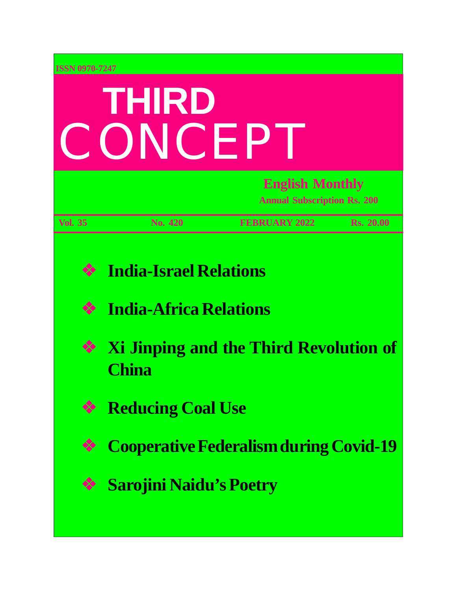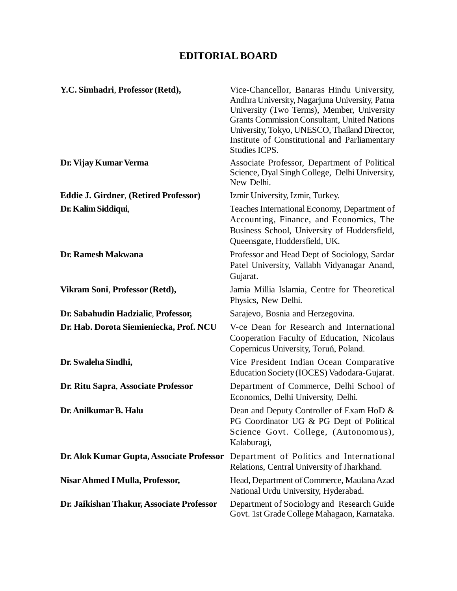### **EDITORIAL BOARD**

| Y.C. Simhadri, Professor (Retd),             | Vice-Chancellor, Banaras Hindu University,<br>Andhra University, Nagarjuna University, Patna<br>University (Two Terms), Member, University<br><b>Grants Commission Consultant, United Nations</b><br>University, Tokyo, UNESCO, Thailand Director,<br>Institute of Constitutional and Parliamentary<br>Studies ICPS. |
|----------------------------------------------|----------------------------------------------------------------------------------------------------------------------------------------------------------------------------------------------------------------------------------------------------------------------------------------------------------------------|
| Dr. Vijay Kumar Verma                        | Associate Professor, Department of Political<br>Science, Dyal Singh College, Delhi University,<br>New Delhi.                                                                                                                                                                                                         |
| <b>Eddie J. Girdner, (Retired Professor)</b> | Izmir University, Izmir, Turkey.                                                                                                                                                                                                                                                                                     |
| Dr. Kalim Siddiqui,                          | Teaches International Economy, Department of<br>Accounting, Finance, and Economics, The<br>Business School, University of Huddersfield,<br>Queensgate, Huddersfield, UK.                                                                                                                                             |
| Dr. Ramesh Makwana                           | Professor and Head Dept of Sociology, Sardar<br>Patel University, Vallabh Vidyanagar Anand,<br>Gujarat.                                                                                                                                                                                                              |
| Vikram Soni, Professor (Retd),               | Jamia Millia Islamia, Centre for Theoretical<br>Physics, New Delhi.                                                                                                                                                                                                                                                  |
| Dr. Sabahudin Hadzialic, Professor,          | Sarajevo, Bosnia and Herzegovina.                                                                                                                                                                                                                                                                                    |
| Dr. Hab. Dorota Siemieniecka, Prof. NCU      | V-ce Dean for Research and International<br>Cooperation Faculty of Education, Nicolaus<br>Copernicus University, Toruń, Poland.                                                                                                                                                                                      |
| Dr. Swaleha Sindhi,                          | Vice President Indian Ocean Comparative<br>Education Society (IOCES) Vadodara-Gujarat.                                                                                                                                                                                                                               |
| Dr. Ritu Sapra, Associate Professor          | Department of Commerce, Delhi School of<br>Economics, Delhi University, Delhi.                                                                                                                                                                                                                                       |
| Dr. Anilkumar B. Halu                        | Dean and Deputy Controller of Exam HoD &<br>PG Coordinator UG & PG Dept of Political<br>Science Govt. College, (Autonomous),<br>Kalaburagi,                                                                                                                                                                          |
| Dr. Alok Kumar Gupta, Associate Professor    | Department of Politics and International<br>Relations, Central University of Jharkhand.                                                                                                                                                                                                                              |
| Nisar Ahmed I Mulla, Professor,              | Head, Department of Commerce, Maulana Azad<br>National Urdu University, Hyderabad.                                                                                                                                                                                                                                   |
| Dr. Jaikishan Thakur, Associate Professor    | Department of Sociology and Research Guide<br>Govt. 1st Grade College Mahagaon, Karnataka.                                                                                                                                                                                                                           |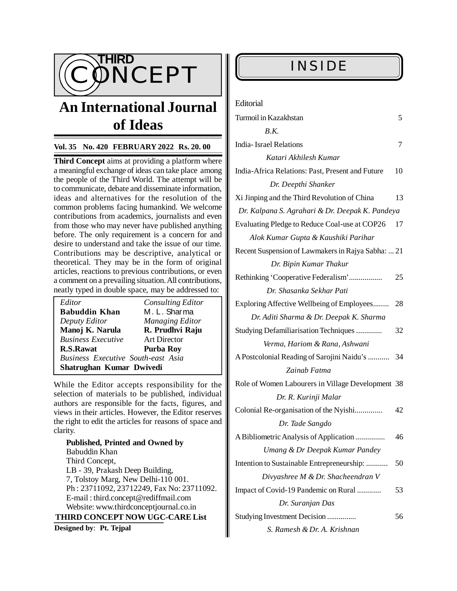

# **An International Journal** Feditorial **of Ideas**

### **Vol. 35 No. 420 FEBRUARY 2022 Rs. 20. 00**

**Third Concept** aims at providing a platform where a meaningful exchange of ideas can take place among the people of the Third World. The attempt will be to communicate, debate and disseminate information, ideas and alternatives for the resolution of the common problems facing humankind. We welcome contributions from academics, journalists and even from those who may never have published anything before. The only requirement is a concern for and desire to understand and take the issue of our time. Contributions may be descriptive, analytical or theoretical. They may be in the form of original articles, reactions to previous contributions, or even a comment on a prevailing situation. All contributions, neatly typed in double space, may be addressed to:

| Editor                                    | <b>Consulting Editor</b> |  |
|-------------------------------------------|--------------------------|--|
| <b>Babuddin Khan</b>                      | M. L. Sharma             |  |
| Deputy Editor                             | <b>Managing Editor</b>   |  |
| Manoj K. Narula                           | R. Prudhvi Raju          |  |
| <b>Business Executive</b>                 | <b>Art Director</b>      |  |
| <b>R.S.Rawat</b>                          | <b>Purba Roy</b>         |  |
| <b>Business Executive South-east Asia</b> |                          |  |
| Shatrughan Kumar Dwivedi                  |                          |  |

While the Editor accepts responsibility for the selection of materials to be published, individual authors are responsible for the facts, figures, and views in their articles. However, the Editor reserves the right to edit the articles for reasons of space and clarity.

**Published, Printed and Owned by** Babuddin Khan Third Concept, LB - 39, Prakash Deep Building, 7, Tolstoy Marg, New Delhi-110 001. Ph : 23711092, 23712249, Fax No: 23711092. E-mail : [third.concept@rediffmail.com](mailto:third.concept@rediffmail.com) Website: [www.thirdconceptjournal.co.in](http://www.thirdconceptjournal.co.in)  **THIRD CONCEPT NOW UGC-CARE List**

**Designed by**: **Pt. Tejpal**

| Turmoil in Kazakhstan                              | 5  |
|----------------------------------------------------|----|
| B.K.                                               |    |
| <b>India-Israel Relations</b>                      | 7  |
| Katari Akhilesh Kumar                              |    |
| India-Africa Relations: Past, Present and Future   | 10 |
| Dr. Deepthi Shanker                                |    |
| Xi Jinping and the Third Revolution of China       | 13 |
| Dr. Kalpana S. Agrahari & Dr. Deepak K. Pandeya    |    |
| Evaluating Pledge to Reduce Coal-use at COP26      | 17 |
| Alok Kumar Gupta & Kaushiki Parihar                |    |
| Recent Suspension of Lawmakers in Rajya Sabha:  21 |    |
| Dr. Bipin Kumar Thakur                             |    |
| Rethinking 'Cooperative Federalism'                | 25 |
| Dr. Shasanka Sekhar Pati                           |    |
| Exploring Affective Wellbeing of Employees         | 28 |
| Dr. Aditi Sharma & Dr. Deepak K. Sharma            |    |
| Studying Defamiliarisation Techniques              | 32 |
| Verma, Hariom & Rana, Ashwani                      |    |
| A Postcolonial Reading of Sarojini Naidu's         | 34 |
| Zainab Fatma                                       |    |
| Role of Women Labourers in Village Development 38  |    |
| Dr. R. Kurinji Malar                               |    |
| Colonial Re-organisation of the Nyishi             | 42 |
| Dr. Tade Sangdo                                    |    |
| A Bibliometric Analysis of Application             | 46 |
| Umang & Dr Deepak Kumar Pandey                     |    |
| Intention to Sustainable Entrepreneurship:         | 50 |
| Divyashree M & Dr. Shacheendran V                  |    |
| Impact of Covid-19 Pandemic on Rural               | 53 |
| Dr. Suranjan Das                                   |    |
| Studying Investment Decision                       | 56 |
| S. Ramesh & Dr. A. Krishnan                        |    |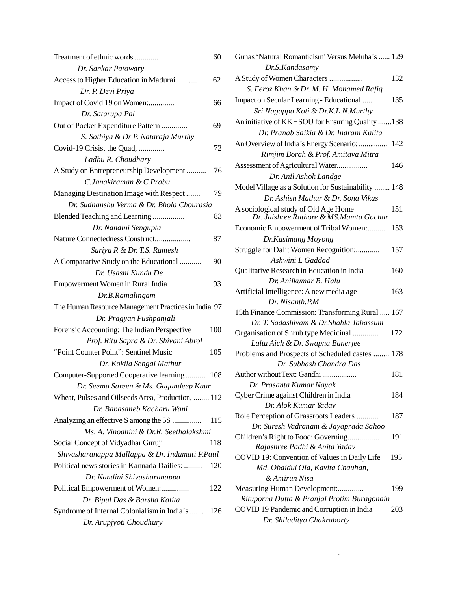| Treatment of ethnic words                           | 60  |
|-----------------------------------------------------|-----|
| Dr. Sankar Patowary                                 |     |
| Access to Higher Education in Madurai               | 62  |
| Dr. P. Devi Priya                                   |     |
| Impact of Covid 19 on Women:                        | 66  |
| Dr. Satarupa Pal                                    |     |
| Out of Pocket Expenditure Pattern                   | 69  |
| S. Sathiya & Dr P. Nataraja Murthy                  |     |
| Covid-19 Crisis, the Quad,                          | 72  |
| Ladhu R. Choudhary                                  |     |
| A Study on Entrepreneurship Development             | 76  |
| C.Janakiraman & C.Prabu                             |     |
| Managing Destination Image with Respect             | 79  |
| Dr. Sudhanshu Verma & Dr. Bhola Chourasia           |     |
| Blended Teaching and Learning                       | 83  |
| Dr. Nandini Sengupta                                |     |
| Nature Connectedness Construct                      | 87  |
| Suriya R & Dr. T.S. Ramesh                          |     |
| A Comparative Study on the Educational              | 90  |
| Dr. Usashi Kundu De                                 |     |
| Empowerment Women in Rural India                    | 93  |
| Dr.B.Ramalingam                                     |     |
| The Human Resource Management Practices in India 97 |     |
| Dr. Pragyan Pushpanjali                             |     |
| Forensic Accounting: The Indian Perspective         | 100 |
| Prof. Ritu Sapra & Dr. Shivani Abrol                |     |
| "Point Counter Point": Sentinel Music               | 105 |
| Dr. Kokila Sehgal Mathur                            |     |
| Computer-Supported Cooperative learning             | 108 |
| Dr. Seema Sareen & Ms. Gagandeep Kaur               |     |
| Wheat, Pulses and Oilseeds Area, Production,  112   |     |
| Dr. Babasaheb Kacharu Wani                          |     |
| Analyzing an effective S among the 5S               | 115 |
| Ms. A. Vinodhini & Dr.R. Seethalakshmi              |     |
| Social Concept of Vidyadhar Guruji                  | 118 |
| Shivasharanappa Mallappa & Dr. Indumati P.Patil     |     |
| Political news stories in Kannada Dailies:          | 120 |
| Dr. Nandini Shivasharanappa                         |     |
| Political Empowerment of Women:                     | 122 |
| Dr. Bipul Das & Barsha Kalita                       |     |
| Syndrome of Internal Colonialism in India's         | 126 |
| Dr. Arupjyoti Choudhury                             |     |

| Gunas 'Natural Romanticism' Versus Meluha's  129    |     |
|-----------------------------------------------------|-----|
| Dr.S. Kandasamy                                     |     |
| A Study of Women Characters                         | 132 |
| S. Feroz Khan & Dr. M. H. Mohamed Rafiq             |     |
| Impact on Secular Learning - Educational            | 135 |
| Sri.Nagappa Koti & Dr.K.L.N.Murthy                  |     |
| An initiative of KKHSOU for Ensuring Quality 138    |     |
| Dr. Pranab Saikia & Dr. Indrani Kalita              |     |
| An Overview of India's Energy Scenario:             | 142 |
| Rimjim Borah & Prof. Amitava Mitra                  |     |
| Assessment of Agricultural Water                    | 146 |
| Dr. Anil Ashok Landge                               |     |
| Model Village as a Solution for Sustainability  148 |     |
| Dr. Ashish Mathur & Dr. Sona Vikas                  |     |
| A sociological study of Old Age Home                | 151 |
| Dr. Jaishree Rathore & MS.Mamta Gochar              |     |
| Economic Empowerment of Tribal Women:               | 153 |
| Dr.Kasimang Moyong                                  |     |
| Struggle for Dalit Women Recognition:               | 157 |
| Ashwini L Gaddad                                    |     |
| Qualitative Research in Education in India          | 160 |
| Dr. Anilkumar B. Halu                               |     |
| Artificial Intelligence: A new media age            | 163 |
| Dr. Nisanth.P.M                                     |     |
| 15th Finance Commission: Transforming Rural  167    |     |
| Dr. T. Sadashivam & Dr. Shahla Tabassum             |     |
| Organisation of Shrub type Medicinal                | 172 |
| Laltu Aich & Dr. Swapna Banerjee                    |     |
| Problems and Prospects of Scheduled castes  178     |     |
| Dr. Subhash Chandra Das                             |     |
| Author without Text: Gandhi                         | 181 |
| Dr. Prasanta Kumar Nayak                            |     |
| Cyber Crime against Children in India               | 184 |
| Dr. Alok Kumar Yadav                                |     |
| Role Perception of Grassroots Leaders               | 187 |
| Dr. Suresh Vadranam & Jayaprada Sahoo               |     |
| Children's Right to Food: Governing                 | 191 |
| Rajashree Padhi & Anita Yadav                       |     |
| COVID 19: Convention of Values in Daily Life        | 195 |
| Md. Obaidul Ola, Kavita Chauhan,                    |     |
| & Amirun Nisa                                       |     |
| Measuring Human Development:                        | 199 |
| Rituporna Dutta & Pranjal Protim Buragohain         |     |
| COVID 19 Pandemic and Corruption in India           | 203 |
| Dr. Shiladitya Chakraborty                          |     |

 $\mathcal{A} = \mathcal{A} + \mathcal{A}$  Third  $\mathcal{A} = \mathcal{A} + \mathcal{A}$  ,  $\mathcal{A} = \mathcal{A} + \mathcal{A}$